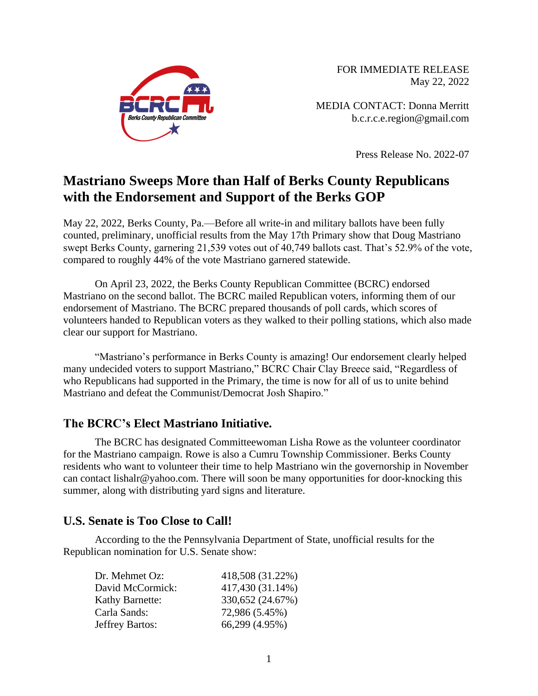

FOR IMMEDIATE RELEASE May 22, 2022

MEDIA CONTACT: Donna Merritt b.c.r.c.e.region@gmail.com

Press Release No. 2022-07

# **Mastriano Sweeps More than Half of Berks County Republicans with the Endorsement and Support of the Berks GOP**

May 22, 2022, Berks County, Pa.—Before all write-in and military ballots have been fully counted, preliminary, unofficial results from the May 17th Primary show that Doug Mastriano swept Berks County, garnering 21,539 votes out of 40,749 ballots cast. That's 52.9% of the vote, compared to roughly 44% of the vote Mastriano garnered statewide.

On April 23, 2022, the Berks County Republican Committee (BCRC) endorsed Mastriano on the second ballot. The BCRC mailed Republican voters, informing them of our endorsement of Mastriano. The BCRC prepared thousands of poll cards, which scores of volunteers handed to Republican voters as they walked to their polling stations, which also made clear our support for Mastriano.

"Mastriano's performance in Berks County is amazing! Our endorsement clearly helped many undecided voters to support Mastriano," BCRC Chair Clay Breece said, "Regardless of who Republicans had supported in the Primary, the time is now for all of us to unite behind Mastriano and defeat the Communist/Democrat Josh Shapiro."

### **The BCRC's Elect Mastriano Initiative.**

The BCRC has designated Committeewoman Lisha Rowe as the volunteer coordinator for the Mastriano campaign. Rowe is also a Cumru Township Commissioner. Berks County residents who want to volunteer their time to help Mastriano win the governorship in November can contact lishalr@yahoo.com. There will soon be many opportunities for door-knocking this summer, along with distributing yard signs and literature.

### **U.S. Senate is Too Close to Call!**

According to the the Pennsylvania Department of State, unofficial results for the Republican nomination for U.S. Senate show:

| 418,508 (31.22%) |
|------------------|
| 417,430 (31.14%) |
| 330,652 (24.67%) |
| 72,986 (5.45%)   |
| 66,299 (4.95%)   |
|                  |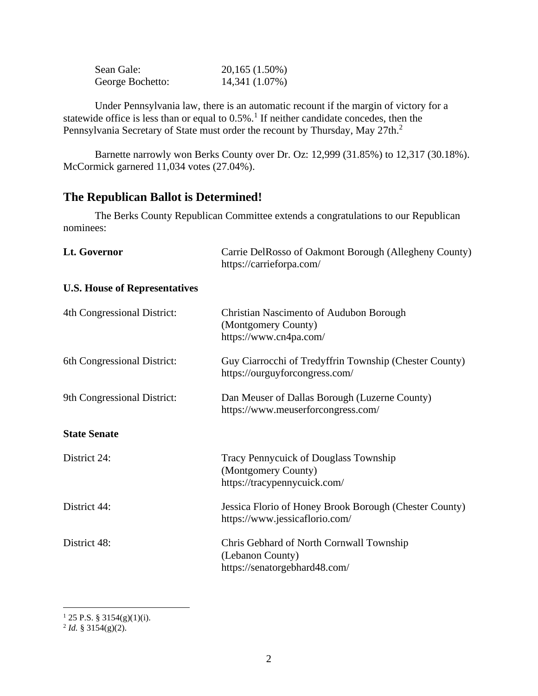| Sean Gale:       | 20,165 (1.50%) |
|------------------|----------------|
| George Bochetto: | 14,341 (1.07%) |

Under Pennsylvania law, there is an automatic recount if the margin of victory for a statewide office is less than or equal to  $0.5\%$ .<sup>1</sup> If neither candidate concedes, then the Pennsylvania Secretary of State must order the recount by Thursday, May 27th.<sup>2</sup>

Barnette narrowly won Berks County over Dr. Oz: 12,999 (31.85%) to 12,317 (30.18%). McCormick garnered 11,034 votes (27.04%).

# **The Republican Ballot is Determined!**

The Berks County Republican Committee extends a congratulations to our Republican nominees:

| Lt. Governor                         | Carrie DelRosso of Oakmont Borough (Allegheny County)<br>https://carrieforpa.com/             |
|--------------------------------------|-----------------------------------------------------------------------------------------------|
| <b>U.S. House of Representatives</b> |                                                                                               |
| 4th Congressional District:          | Christian Nascimento of Audubon Borough<br>(Montgomery County)<br>https://www.cn4pa.com/      |
| 6th Congressional District:          | Guy Ciarrocchi of Tredyffrin Township (Chester County)<br>https://ourguyforcongress.com/      |
| 9th Congressional District:          | Dan Meuser of Dallas Borough (Luzerne County)<br>https://www.meuserforcongress.com/           |
| <b>State Senate</b>                  |                                                                                               |
| District 24:                         | Tracy Pennycuick of Douglass Township<br>(Montgomery County)<br>https://tracypennycuick.com/  |
| District 44:                         | Jessica Florio of Honey Brook Borough (Chester County)<br>https://www.jessicaflorio.com/      |
| District 48:                         | Chris Gebhard of North Cornwall Township<br>(Lebanon County)<br>https://senatorgebhard48.com/ |

<sup>1</sup> 25 P.S. § 3154(g)(1)(i). 2 *Id.* § 3154(g)(2).